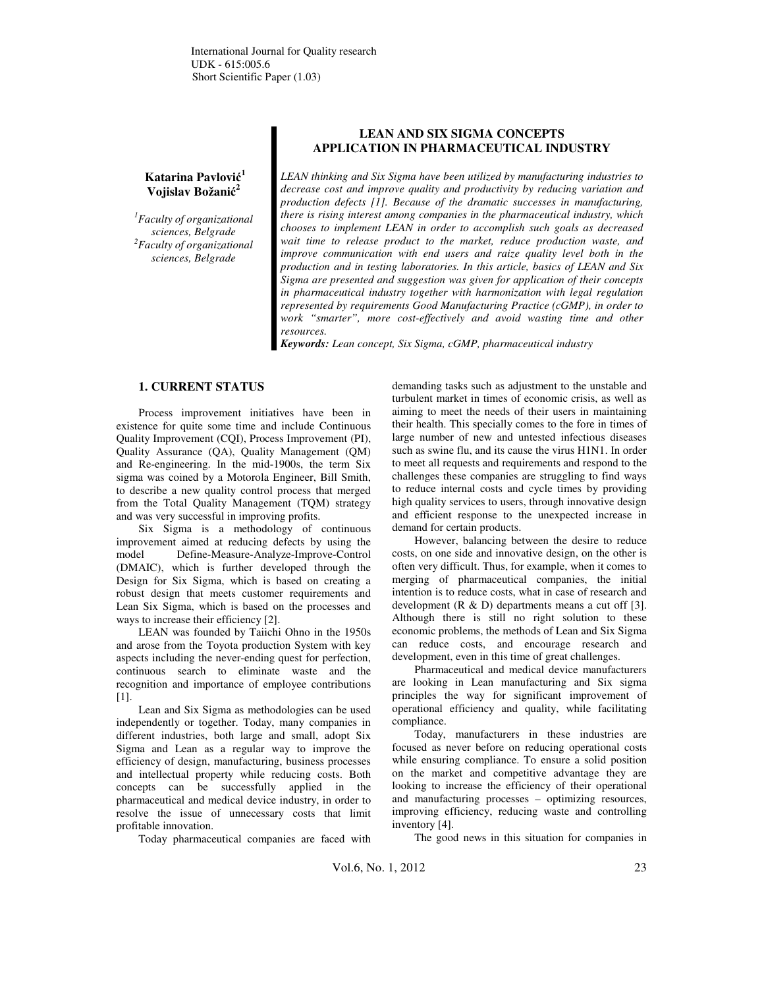# **Katarina Pavlovi**ć **1 Vojislav Božani**ć **2**

*<sup>1</sup>Faculty of organizational sciences, Belgrade <sup>2</sup>Faculty of organizational sciences, Belgrade* 

## **LEAN AND SIX SIGMA CONCEPTS APPLICATION IN PHARMACEUTICAL INDUSTRY**

*LEAN thinking and Six Sigma have been utilized by manufacturing industries to decrease cost and improve quality and productivity by reducing variation and production defects [1]. Because of the dramatic successes in manufacturing, there is rising interest among companies in the pharmaceutical industry, which chooses to implement LEAN in order to accomplish such goals as decreased wait time to release product to the market, reduce production waste, and improve communication with end users and raize quality level both in the production and in testing laboratories. In this article, basics of LEAN and Six Sigma are presented and suggestion was given for application of their concepts in pharmaceutical industry together with harmonization with legal regulation represented by requirements Good Manufacturing Practice (cGMP), in order to work "smarter", more cost-effectively and avoid wasting time and other resources.* 

*Keywords: Lean concept, Six Sigma, cGMP, pharmaceutical industry* 

## **1. CURRENT STATUS**

Process improvement initiatives have been in existence for quite some time and include Continuous Quality Improvement (CQI), Process Improvement (PI), Quality Assurance (QA), Quality Management (QM) and Re-engineering. In the mid-1900s, the term Six sigma was coined by a Motorola Engineer, Bill Smith, to describe a new quality control process that merged from the Total Quality Management (TQM) strategy and was very successful in improving profits.

Six Sigma is a methodology of continuous improvement aimed at reducing defects by using the model Define-Measure-Analyze-Improve-Control (DMAIC), which is further developed through the Design for Six Sigma, which is based on creating a robust design that meets customer requirements and Lean Six Sigma, which is based on the processes and ways to increase their efficiency [2].

LEAN was founded by Taiichi Ohno in the 1950s and arose from the Toyota production System with key aspects including the never-ending quest for perfection, continuous search to eliminate waste and the recognition and importance of employee contributions [1].

Lean and Six Sigma as methodologies can be used independently or together. Today, many companies in different industries, both large and small, adopt Six Sigma and Lean as a regular way to improve the efficiency of design, manufacturing, business processes and intellectual property while reducing costs. Both concepts can be successfully applied in the pharmaceutical and medical device industry, in order to resolve the issue of unnecessary costs that limit profitable innovation.

Today pharmaceutical companies are faced with

demanding tasks such as adjustment to the unstable and turbulent market in times of economic crisis, as well as aiming to meet the needs of their users in maintaining their health. This specially comes to the fore in times of large number of new and untested infectious diseases such as swine flu, and its cause the virus H1N1. In order to meet all requests and requirements and respond to the challenges these companies are struggling to find ways to reduce internal costs and cycle times by providing high quality services to users, through innovative design and efficient response to the unexpected increase in demand for certain products.

However, balancing between the desire to reduce costs, on one side and innovative design, on the other is often very difficult. Thus, for example, when it comes to merging of pharmaceutical companies, the initial intention is to reduce costs, what in case of research and development  $(R & D)$  departments means a cut off [3]. Although there is still no right solution to these economic problems, the methods of Lean and Six Sigma can reduce costs, and encourage research and development, even in this time of great challenges.

Pharmaceutical and medical device manufacturers are looking in Lean manufacturing and Six sigma principles the way for significant improvement of operational efficiency and quality, while facilitating compliance.

Today, manufacturers in these industries are focused as never before on reducing operational costs while ensuring compliance. To ensure a solid position on the market and competitive advantage they are looking to increase the efficiency of their operational and manufacturing processes – optimizing resources, improving efficiency, reducing waste and controlling inventory [4].

The good news in this situation for companies in

Vol.6, No. 1, 2012 23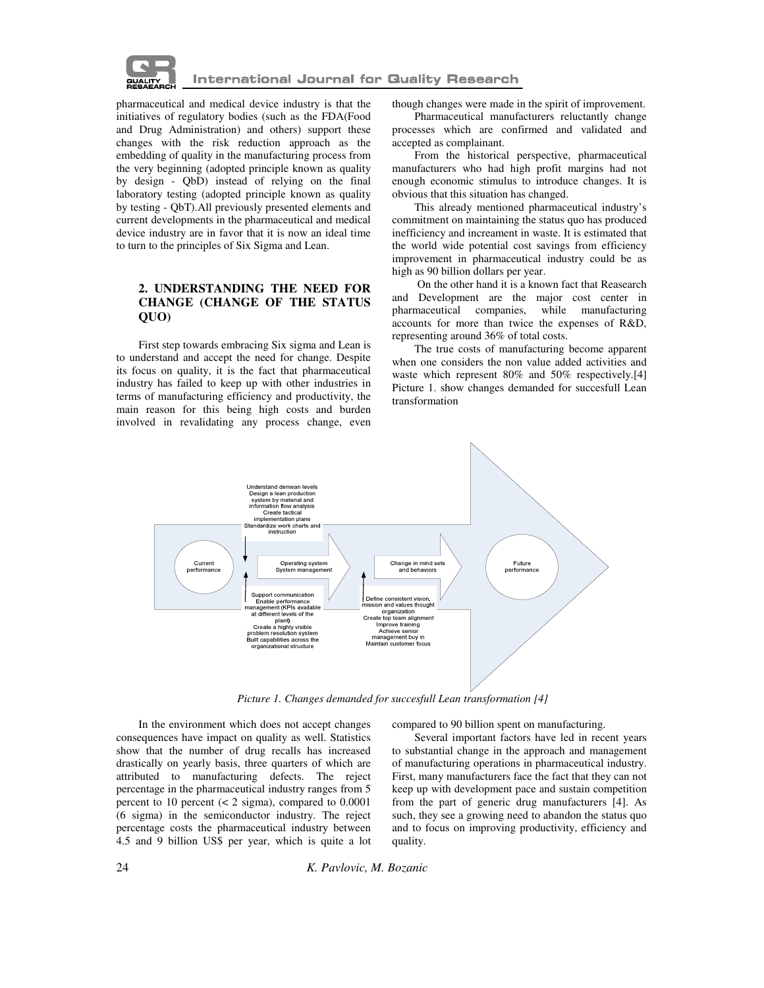

### **International Journal for Quality Research**

pharmaceutical and medical device industry is that the initiatives of regulatory bodies (such as the FDA(Food and Drug Administration) and others) support these changes with the risk reduction approach as the embedding of quality in the manufacturing process from the very beginning (adopted principle known as quality by design - QbD) instead of relying on the final laboratory testing (adopted principle known as quality by testing - QbT).All previously presented elements and current developments in the pharmaceutical and medical device industry are in favor that it is now an ideal time to turn to the principles of Six Sigma and Lean.

## **2. UNDERSTANDING THE NEED FOR CHANGE (CHANGE OF THE STATUS QUO)**

First step towards embracing Six sigma and Lean is to understand and accept the need for change. Despite its focus on quality, it is the fact that pharmaceutical industry has failed to keep up with other industries in terms of manufacturing efficiency and productivity, the main reason for this being high costs and burden involved in revalidating any process change, even

though changes were made in the spirit of improvement.

Pharmaceutical manufacturers reluctantly change processes which are confirmed and validated and accepted as complainant.

From the historical perspective, pharmaceutical manufacturers who had high profit margins had not enough economic stimulus to introduce changes. It is obvious that this situation has changed.

This already mentioned pharmaceutical industry's commitment on maintaining the status quo has produced inefficiency and increament in waste. It is estimated that the world wide potential cost savings from efficiency improvement in pharmaceutical industry could be as high as 90 billion dollars per year.

 On the other hand it is a known fact that Reasearch and Development are the major cost center in pharmaceutical companies, while manufacturing accounts for more than twice the expenses of R&D, representing around 36% of total costs.

The true costs of manufacturing become apparent when one considers the non value added activities and waste which represent 80% and 50% respectively.<sup>[4]</sup> Picture 1. show changes demanded for succesfull Lean transformation



*Picture 1. Changes demanded for succesfull Lean transformation [4]* 

In the environment which does not accept changes consequences have impact on quality as well. Statistics show that the number of drug recalls has increased drastically on yearly basis, three quarters of which are attributed to manufacturing defects. The reject percentage in the pharmaceutical industry ranges from 5 percent to 10 percent  $(< 2 \text{ sigma})$ , compared to 0.0001 (6 sigma) in the semiconductor industry. The reject percentage costs the pharmaceutical industry between 4.5 and 9 billion US\$ per year, which is quite a lot

compared to 90 billion spent on manufacturing.

Several important factors have led in recent years to substantial change in the approach and management of manufacturing operations in pharmaceutical industry. First, many manufacturers face the fact that they can not keep up with development pace and sustain competition from the part of generic drug manufacturers [4]. As such, they see a growing need to abandon the status quo and to focus on improving productivity, efficiency and quality.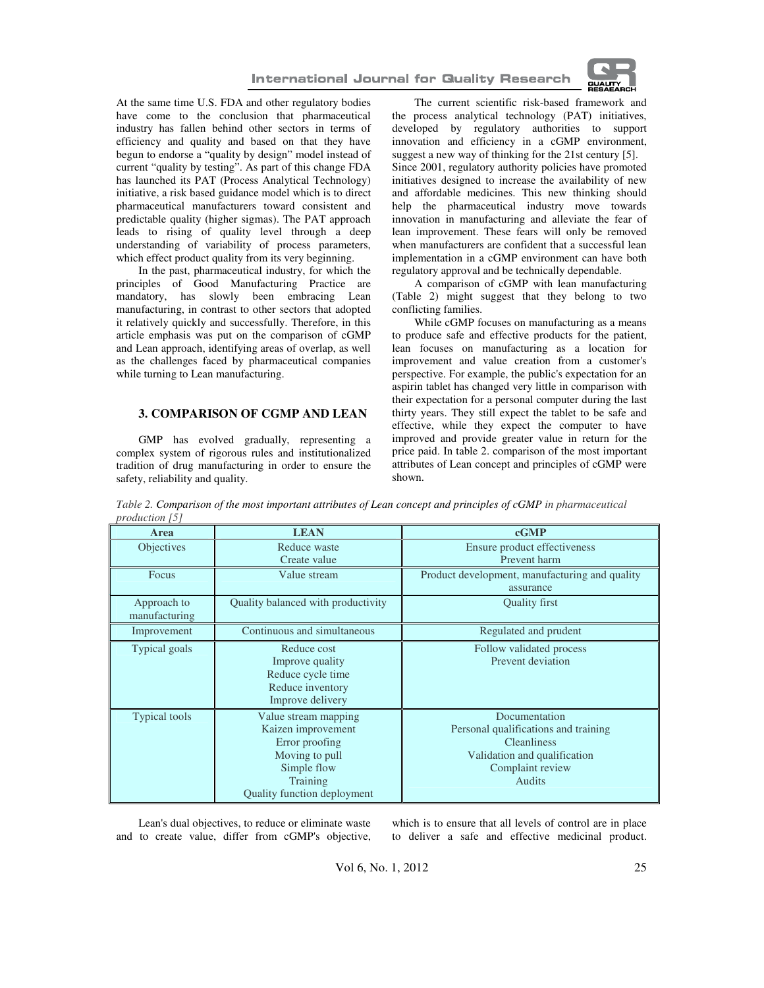



At the same time U.S. FDA and other regulatory bodies have come to the conclusion that pharmaceutical industry has fallen behind other sectors in terms of efficiency and quality and based on that they have begun to endorse a "quality by design" model instead of current "quality by testing". As part of this change FDA has launched its PAT (Process Analytical Technology) initiative, a risk based guidance model which is to direct pharmaceutical manufacturers toward consistent and predictable quality (higher sigmas). The PAT approach leads to rising of quality level through a deep understanding of variability of process parameters, which effect product quality from its very beginning.

In the past, pharmaceutical industry, for which the principles of Good Manufacturing Practice are mandatory, has slowly been embracing Lean manufacturing, in contrast to other sectors that adopted it relatively quickly and successfully. Therefore, in this article emphasis was put on the comparison of cGMP and Lean approach, identifying areas of overlap, as well as the challenges faced by pharmaceutical companies while turning to Lean manufacturing.

### **3. COMPARISON OF CGMP AND LEAN**

GMP has evolved gradually, representing a complex system of rigorous rules and institutionalized tradition of drug manufacturing in order to ensure the safety, reliability and quality.

The current scientific risk-based framework and the process analytical technology (PAT) initiatives, developed by regulatory authorities to support innovation and efficiency in a cGMP environment, suggest a new way of thinking for the 21st century [5]. Since 2001, regulatory authority policies have promoted initiatives designed to increase the availability of new and affordable medicines. This new thinking should help the pharmaceutical industry move towards innovation in manufacturing and alleviate the fear of lean improvement. These fears will only be removed when manufacturers are confident that a successful lean implementation in a cGMP environment can have both regulatory approval and be technically dependable.

A comparison of cGMP with lean manufacturing (Table 2) might suggest that they belong to two conflicting families.

While cGMP focuses on manufacturing as a means to produce safe and effective products for the patient, lean focuses on manufacturing as a location for improvement and value creation from a customer's perspective. For example, the public's expectation for an aspirin tablet has changed very little in comparison with their expectation for a personal computer during the last thirty years. They still expect the tablet to be safe and effective, while they expect the computer to have improved and provide greater value in return for the price paid. In table 2. comparison of the most important attributes of Lean concept and principles of cGMP were shown.

*Table 2. Comparison of the most important attributes of Lean concept and principles of cGMP in pharmaceutical production [5]* 

| Area              | <b>LEAN</b>                        | cGMP                                           |
|-------------------|------------------------------------|------------------------------------------------|
| <b>Objectives</b> | Reduce waste                       | Ensure product effectiveness                   |
|                   | Create value                       | Prevent harm                                   |
| Focus             | Value stream                       | Product development, manufacturing and quality |
|                   |                                    | assurance                                      |
| Approach to       | Quality balanced with productivity | <b>Quality first</b>                           |
| manufacturing     |                                    |                                                |
| Improvement       | Continuous and simultaneous        | Regulated and prudent                          |
| Typical goals     | Reduce cost                        | Follow validated process                       |
|                   | Improve quality                    | Prevent deviation                              |
|                   | Reduce cycle time                  |                                                |
|                   | Reduce inventory                   |                                                |
|                   | Improve delivery                   |                                                |
| Typical tools     | Value stream mapping               | Documentation                                  |
|                   | Kaizen improvement                 | Personal qualifications and training           |
|                   | Error proofing                     | <b>Cleanliness</b>                             |
|                   | Moving to pull                     | Validation and qualification                   |
|                   | Simple flow                        | Complaint review                               |
|                   | Training                           | <b>Audits</b>                                  |
|                   | Quality function deployment        |                                                |

Lean's dual objectives, to reduce or eliminate waste and to create value, differ from cGMP's objective, which is to ensure that all levels of control are in place to deliver a safe and effective medicinal product.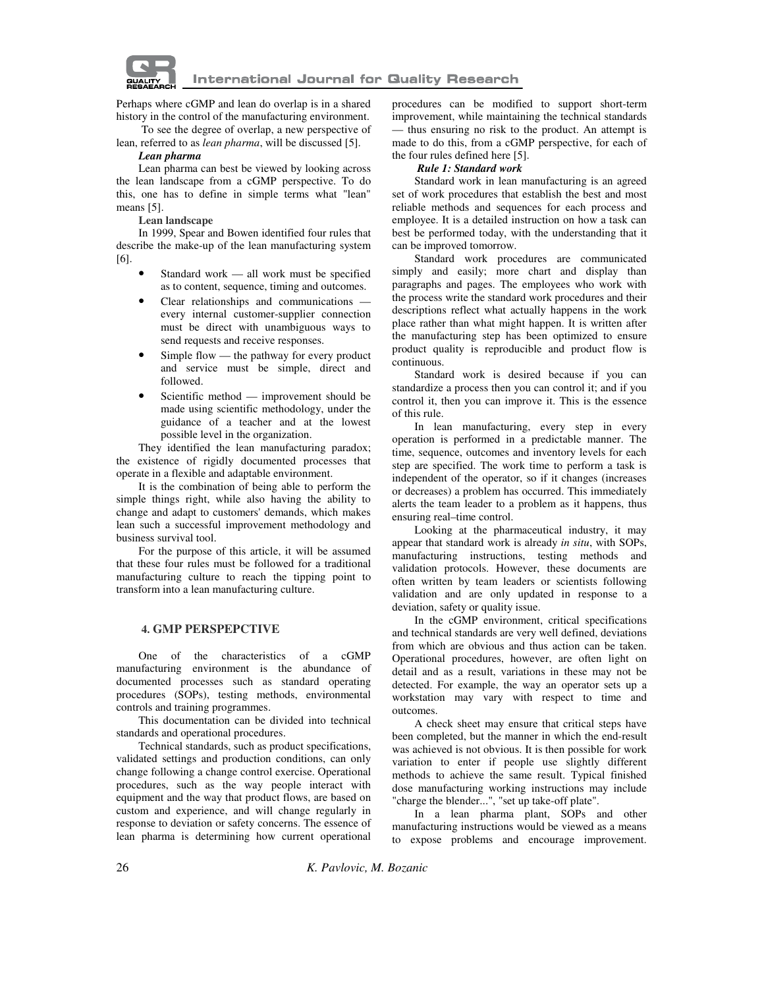

Perhaps where cGMP and lean do overlap is in a shared history in the control of the manufacturing environment.

 To see the degree of overlap, a new perspective of lean, referred to as *lean pharma*, will be discussed [5].

### *Lean pharma*

Lean pharma can best be viewed by looking across the lean landscape from a cGMP perspective. To do this, one has to define in simple terms what "lean" means [5].

**Lean landscape** 

In 1999, Spear and Bowen identified four rules that describe the make-up of the lean manufacturing system [6].

- Standard work all work must be specified as to content, sequence, timing and outcomes.
- Clear relationships and communications every internal customer-supplier connection must be direct with unambiguous ways to send requests and receive responses.
- Simple flow the pathway for every product and service must be simple, direct and followed.
- Scientific method improvement should be made using scientific methodology, under the guidance of a teacher and at the lowest possible level in the organization.

They identified the lean manufacturing paradox; the existence of rigidly documented processes that operate in a flexible and adaptable environment.

It is the combination of being able to perform the simple things right, while also having the ability to change and adapt to customers' demands, which makes lean such a successful improvement methodology and business survival tool.

For the purpose of this article, it will be assumed that these four rules must be followed for a traditional manufacturing culture to reach the tipping point to transform into a lean manufacturing culture.

#### **4. GMP PERSPEPCTIVE**

One of the characteristics of a cGMP manufacturing environment is the abundance of documented processes such as standard operating procedures (SOPs), testing methods, environmental controls and training programmes.

This documentation can be divided into technical standards and operational procedures.

Technical standards, such as product specifications, validated settings and production conditions, can only change following a change control exercise. Operational procedures, such as the way people interact with equipment and the way that product flows, are based on custom and experience, and will change regularly in response to deviation or safety concerns. The essence of lean pharma is determining how current operational procedures can be modified to support short-term improvement, while maintaining the technical standards — thus ensuring no risk to the product. An attempt is made to do this, from a cGMP perspective, for each of the four rules defined here [5].

#### *Rule 1: Standard work*

Standard work in lean manufacturing is an agreed set of work procedures that establish the best and most reliable methods and sequences for each process and employee. It is a detailed instruction on how a task can best be performed today, with the understanding that it can be improved tomorrow.

Standard work procedures are communicated simply and easily; more chart and display than paragraphs and pages. The employees who work with the process write the standard work procedures and their descriptions reflect what actually happens in the work place rather than what might happen. It is written after the manufacturing step has been optimized to ensure product quality is reproducible and product flow is continuous.

Standard work is desired because if you can standardize a process then you can control it; and if you control it, then you can improve it. This is the essence of this rule.

In lean manufacturing, every step in every operation is performed in a predictable manner. The time, sequence, outcomes and inventory levels for each step are specified. The work time to perform a task is independent of the operator, so if it changes (increases or decreases) a problem has occurred. This immediately alerts the team leader to a problem as it happens, thus ensuring real–time control.

Looking at the pharmaceutical industry, it may appear that standard work is already *in situ*, with SOPs, manufacturing instructions, testing methods and validation protocols. However, these documents are often written by team leaders or scientists following validation and are only updated in response to a deviation, safety or quality issue.

In the cGMP environment, critical specifications and technical standards are very well defined, deviations from which are obvious and thus action can be taken. Operational procedures, however, are often light on detail and as a result, variations in these may not be detected. For example, the way an operator sets up a workstation may vary with respect to time and outcomes.

A check sheet may ensure that critical steps have been completed, but the manner in which the end-result was achieved is not obvious. It is then possible for work variation to enter if people use slightly different methods to achieve the same result. Typical finished dose manufacturing working instructions may include "charge the blender...", "set up take-off plate".

In a lean pharma plant, SOPs and other manufacturing instructions would be viewed as a means to expose problems and encourage improvement.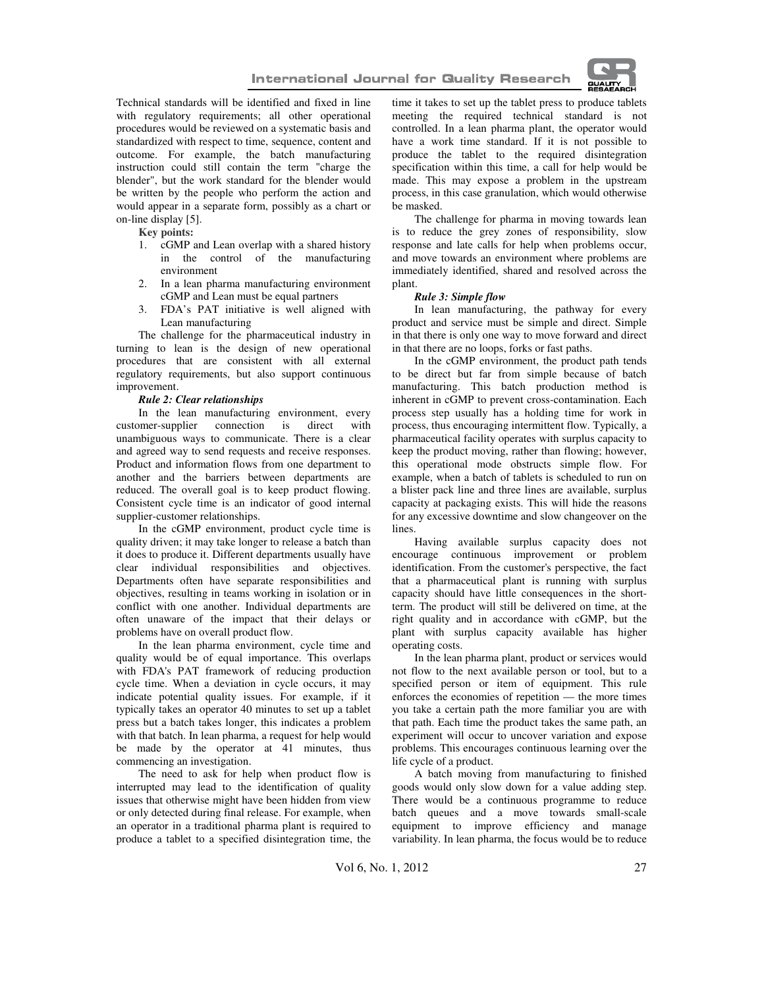

Technical standards will be identified and fixed in line with regulatory requirements; all other operational procedures would be reviewed on a systematic basis and standardized with respect to time, sequence, content and outcome. For example, the batch manufacturing instruction could still contain the term "charge the blender", but the work standard for the blender would be written by the people who perform the action and would appear in a separate form, possibly as a chart or on-line display [5].

**Key points:** 

- 1. cGMP and Lean overlap with a shared history in the control of the manufacturing environment
- 2. In a lean pharma manufacturing environment cGMP and Lean must be equal partners
- 3. FDA's PAT initiative is well aligned with Lean manufacturing

The challenge for the pharmaceutical industry in turning to lean is the design of new operational procedures that are consistent with all external regulatory requirements, but also support continuous improvement.

#### *Rule 2: Clear relationships*

In the lean manufacturing environment, every customer-supplier connection is direct with unambiguous ways to communicate. There is a clear and agreed way to send requests and receive responses. Product and information flows from one department to another and the barriers between departments are reduced. The overall goal is to keep product flowing. Consistent cycle time is an indicator of good internal supplier-customer relationships.

In the cGMP environment, product cycle time is quality driven; it may take longer to release a batch than it does to produce it. Different departments usually have clear individual responsibilities and objectives. Departments often have separate responsibilities and objectives, resulting in teams working in isolation or in conflict with one another. Individual departments are often unaware of the impact that their delays or problems have on overall product flow.

In the lean pharma environment, cycle time and quality would be of equal importance. This overlaps with FDA's PAT framework of reducing production cycle time. When a deviation in cycle occurs, it may indicate potential quality issues. For example, if it typically takes an operator 40 minutes to set up a tablet press but a batch takes longer, this indicates a problem with that batch. In lean pharma, a request for help would be made by the operator at 41 minutes, thus commencing an investigation.

The need to ask for help when product flow is interrupted may lead to the identification of quality issues that otherwise might have been hidden from view or only detected during final release. For example, when an operator in a traditional pharma plant is required to produce a tablet to a specified disintegration time, the time it takes to set up the tablet press to produce tablets meeting the required technical standard is not controlled. In a lean pharma plant, the operator would have a work time standard. If it is not possible to produce the tablet to the required disintegration specification within this time, a call for help would be made. This may expose a problem in the upstream process, in this case granulation, which would otherwise be masked.

The challenge for pharma in moving towards lean is to reduce the grey zones of responsibility, slow response and late calls for help when problems occur, and move towards an environment where problems are immediately identified, shared and resolved across the plant.

#### *Rule 3: Simple flow*

In lean manufacturing, the pathway for every product and service must be simple and direct. Simple in that there is only one way to move forward and direct in that there are no loops, forks or fast paths.

In the cGMP environment, the product path tends to be direct but far from simple because of batch manufacturing. This batch production method is inherent in cGMP to prevent cross-contamination. Each process step usually has a holding time for work in process, thus encouraging intermittent flow. Typically, a pharmaceutical facility operates with surplus capacity to keep the product moving, rather than flowing; however, this operational mode obstructs simple flow. For example, when a batch of tablets is scheduled to run on a blister pack line and three lines are available, surplus capacity at packaging exists. This will hide the reasons for any excessive downtime and slow changeover on the lines.

Having available surplus capacity does not encourage continuous improvement or problem identification. From the customer's perspective, the fact that a pharmaceutical plant is running with surplus capacity should have little consequences in the shortterm. The product will still be delivered on time, at the right quality and in accordance with cGMP, but the plant with surplus capacity available has higher operating costs.

In the lean pharma plant, product or services would not flow to the next available person or tool, but to a specified person or item of equipment. This rule enforces the economies of repetition — the more times you take a certain path the more familiar you are with that path. Each time the product takes the same path, an experiment will occur to uncover variation and expose problems. This encourages continuous learning over the life cycle of a product.

A batch moving from manufacturing to finished goods would only slow down for a value adding step. There would be a continuous programme to reduce batch queues and a move towards small-scale equipment to improve efficiency and manage variability. In lean pharma, the focus would be to reduce

Vol 6, No. 1, 2012 27